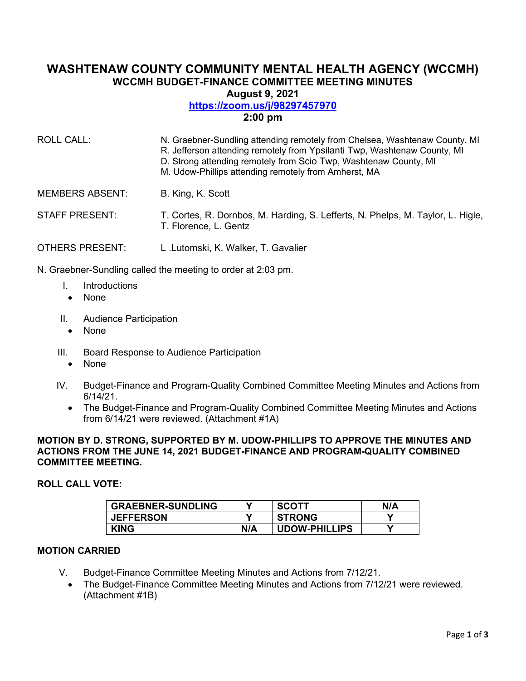# **WASHTENAW COUNTY COMMUNITY MENTAL HEALTH AGENCY (WCCMH) WCCMH BUDGET-FINANCE COMMITTEE MEETING MINUTES August 9, 2021**

# **<https://zoom.us/j/98297457970>**

# **2:00 pm**

| ROLL CALL:             | N. Graebner-Sundling attending remotely from Chelsea, Washtenaw County, MI<br>R. Jefferson attending remotely from Ypsilanti Twp, Washtenaw County, MI<br>D. Strong attending remotely from Scio Twp, Washtenaw County, MI<br>M. Udow-Phillips attending remotely from Amherst, MA |
|------------------------|------------------------------------------------------------------------------------------------------------------------------------------------------------------------------------------------------------------------------------------------------------------------------------|
| <b>MEMBERS ABSENT:</b> | B. King, K. Scott                                                                                                                                                                                                                                                                  |
| <b>STAFF PRESENT:</b>  | T. Cortes, R. Dornbos, M. Harding, S. Lefferts, N. Phelps, M. Taylor, L. Higle,<br>T. Florence, L. Gentz                                                                                                                                                                           |
| OTHERS PRESENT:        | L.Lutomski, K. Walker, T. Gavalier                                                                                                                                                                                                                                                 |

N. Graebner-Sundling called the meeting to order at 2:03 pm.

- I. Introductions
	- None
- II. Audience Participation
	- None
- III. Board Response to Audience Participation
	- None
- IV. Budget-Finance and Program-Quality Combined Committee Meeting Minutes and Actions from 6/14/21.
	- The Budget-Finance and Program-Quality Combined Committee Meeting Minutes and Actions from 6/14/21 were reviewed. (Attachment #1A)

# **MOTION BY D. STRONG, SUPPORTED BY M. UDOW-PHILLIPS TO APPROVE THE MINUTES AND ACTIONS FROM THE JUNE 14, 2021 BUDGET-FINANCE AND PROGRAM-QUALITY COMBINED COMMITTEE MEETING.**

# **ROLL CALL VOTE:**

| <b>GRAEBNER-SUNDLING</b> |     | <b>SCOTT</b>         | N/A |
|--------------------------|-----|----------------------|-----|
| <b>JEFFERSON</b>         |     | <b>STRONG</b>        |     |
| <b>KING</b>              | N/A | <b>UDOW-PHILLIPS</b> |     |

# **MOTION CARRIED**

- V. Budget-Finance Committee Meeting Minutes and Actions from 7/12/21.
	- The Budget-Finance Committee Meeting Minutes and Actions from 7/12/21 were reviewed. (Attachment #1B)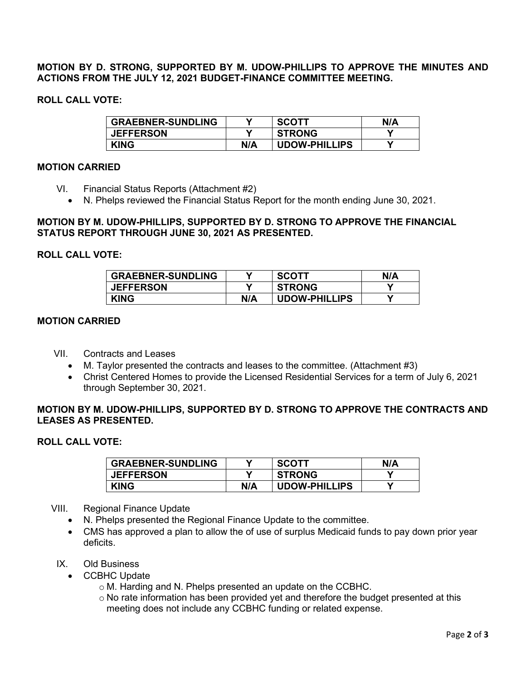**MOTION BY D. STRONG, SUPPORTED BY M. UDOW-PHILLIPS TO APPROVE THE MINUTES AND ACTIONS FROM THE JULY 12, 2021 BUDGET-FINANCE COMMITTEE MEETING.** 

# **ROLL CALL VOTE:**

| <b>GRAEBNER-SUNDLING</b> |     | <b>SCOTT</b>         | N/A |
|--------------------------|-----|----------------------|-----|
| <b>JEFFERSON</b>         |     | <b>STRONG</b>        |     |
| <b>KING</b>              | N/A | <b>UDOW-PHILLIPS</b> |     |

# **MOTION CARRIED**

- VI. Financial Status Reports (Attachment #2)
	- N. Phelps reviewed the Financial Status Report for the month ending June 30, 2021.

### **MOTION BY M. UDOW-PHILLIPS, SUPPORTED BY D. STRONG TO APPROVE THE FINANCIAL STATUS REPORT THROUGH JUNE 30, 2021 AS PRESENTED.**

#### **ROLL CALL VOTE:**

| <b>GRAEBNER-SUNDLING</b> | v   | <b>SCOTT</b>         | N/A |
|--------------------------|-----|----------------------|-----|
| <b>JEFFERSON</b>         | V   | <b>STRONG</b>        |     |
| <b>KING</b>              | N/A | <b>UDOW-PHILLIPS</b> |     |

#### **MOTION CARRIED**

- VII. Contracts and Leases
	- M. Taylor presented the contracts and leases to the committee. (Attachment #3)
	- Christ Centered Homes to provide the Licensed Residential Services for a term of July 6, 2021 through September 30, 2021.

# **MOTION BY M. UDOW-PHILLIPS, SUPPORTED BY D. STRONG TO APPROVE THE CONTRACTS AND LEASES AS PRESENTED.**

# **ROLL CALL VOTE:**

| <b>GRAEBNER-SUNDLING</b> |     | <b>SCOTT</b>         | N/A |
|--------------------------|-----|----------------------|-----|
| <b>JEFFERSON</b>         |     | <b>STRONG</b>        |     |
| <b>KING</b>              | N/A | <b>UDOW-PHILLIPS</b> |     |

#### VIII. Regional Finance Update

- N. Phelps presented the Regional Finance Update to the committee.
- CMS has approved a plan to allow the of use of surplus Medicaid funds to pay down prior year deficits.
- IX. Old Business
	- CCBHC Update
		- o M. Harding and N. Phelps presented an update on the CCBHC.
		- o No rate information has been provided yet and therefore the budget presented at this meeting does not include any CCBHC funding or related expense.